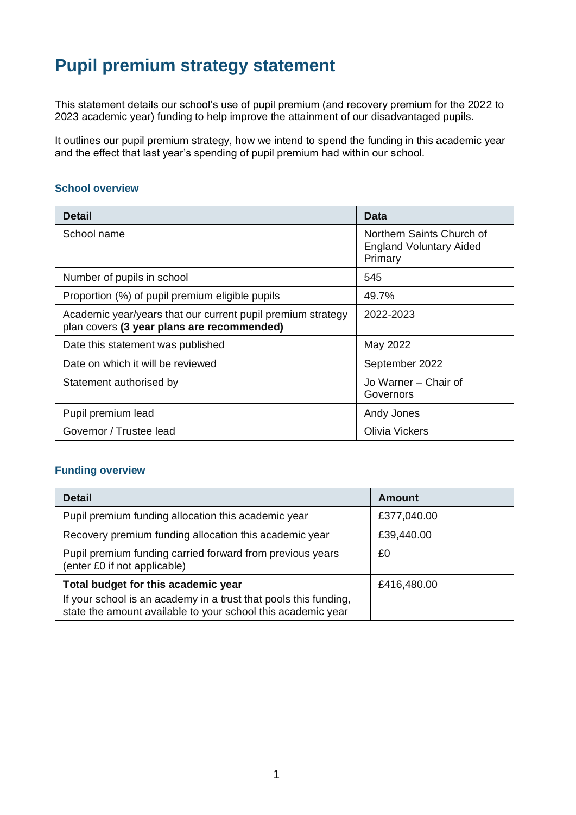# **Pupil premium strategy statement**

This statement details our school's use of pupil premium (and recovery premium for the 2022 to 2023 academic year) funding to help improve the attainment of our disadvantaged pupils.

It outlines our pupil premium strategy, how we intend to spend the funding in this academic year and the effect that last year's spending of pupil premium had within our school.

#### **School overview**

| <b>Detail</b>                                                                                             | <b>Data</b>                                                            |
|-----------------------------------------------------------------------------------------------------------|------------------------------------------------------------------------|
| School name                                                                                               | Northern Saints Church of<br><b>England Voluntary Aided</b><br>Primary |
| Number of pupils in school                                                                                | 545                                                                    |
| Proportion (%) of pupil premium eligible pupils                                                           | 49.7%                                                                  |
| Academic year/years that our current pupil premium strategy<br>plan covers (3 year plans are recommended) | 2022-2023                                                              |
| Date this statement was published                                                                         | May 2022                                                               |
| Date on which it will be reviewed                                                                         | September 2022                                                         |
| Statement authorised by                                                                                   | Jo Warner - Chair of<br>Governors                                      |
| Pupil premium lead                                                                                        | Andy Jones                                                             |
| Governor / Trustee lead                                                                                   | Olivia Vickers                                                         |

#### **Funding overview**

| <b>Detail</b>                                                                                                                    | Amount      |
|----------------------------------------------------------------------------------------------------------------------------------|-------------|
| Pupil premium funding allocation this academic year                                                                              | £377,040.00 |
| Recovery premium funding allocation this academic year                                                                           | £39,440.00  |
| Pupil premium funding carried forward from previous years<br>(enter £0 if not applicable)                                        | £0          |
| Total budget for this academic year                                                                                              | £416,480.00 |
| If your school is an academy in a trust that pools this funding,<br>state the amount available to your school this academic year |             |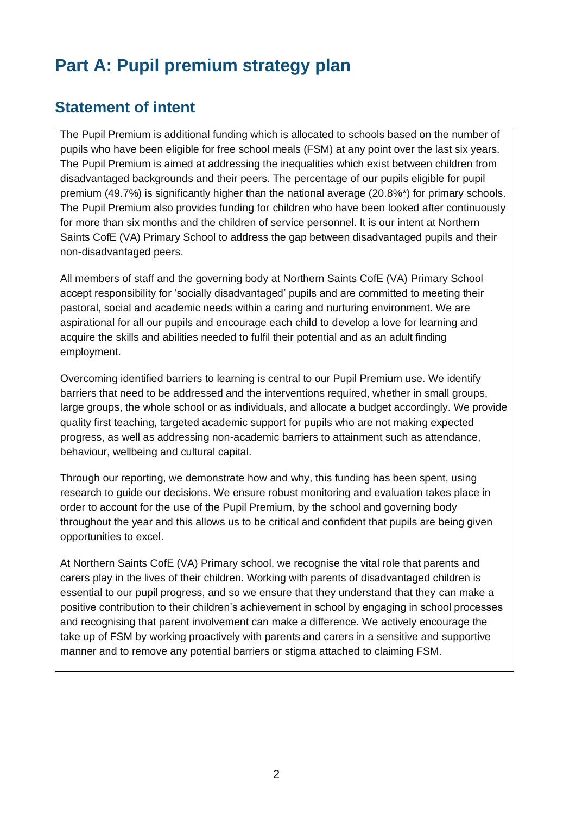# **Part A: Pupil premium strategy plan**

## **Statement of intent**

The Pupil Premium is additional funding which is allocated to schools based on the number of pupils who have been eligible for free school meals (FSM) at any point over the last six years. The Pupil Premium is aimed at addressing the inequalities which exist between children from disadvantaged backgrounds and their peers. The percentage of our pupils eligible for pupil premium (49.7%) is significantly higher than the national average (20.8%\*) for primary schools. The Pupil Premium also provides funding for children who have been looked after continuously for more than six months and the children of service personnel. It is our intent at Northern Saints CofE (VA) Primary School to address the gap between disadvantaged pupils and their non-disadvantaged peers.

All members of staff and the governing body at Northern Saints CofE (VA) Primary School accept responsibility for 'socially disadvantaged' pupils and are committed to meeting their pastoral, social and academic needs within a caring and nurturing environment. We are aspirational for all our pupils and encourage each child to develop a love for learning and acquire the skills and abilities needed to fulfil their potential and as an adult finding employment.

Overcoming identified barriers to learning is central to our Pupil Premium use. We identify barriers that need to be addressed and the interventions required, whether in small groups, large groups, the whole school or as individuals, and allocate a budget accordingly. We provide quality first teaching, targeted academic support for pupils who are not making expected progress, as well as addressing non-academic barriers to attainment such as attendance, behaviour, wellbeing and cultural capital.

Through our reporting, we demonstrate how and why, this funding has been spent, using research to guide our decisions. We ensure robust monitoring and evaluation takes place in order to account for the use of the Pupil Premium, by the school and governing body throughout the year and this allows us to be critical and confident that pupils are being given opportunities to excel.

At Northern Saints CofE (VA) Primary school, we recognise the vital role that parents and carers play in the lives of their children. Working with parents of disadvantaged children is essential to our pupil progress, and so we ensure that they understand that they can make a positive contribution to their children's achievement in school by engaging in school processes and recognising that parent involvement can make a difference. We actively encourage the take up of FSM by working proactively with parents and carers in a sensitive and supportive manner and to remove any potential barriers or stigma attached to claiming FSM.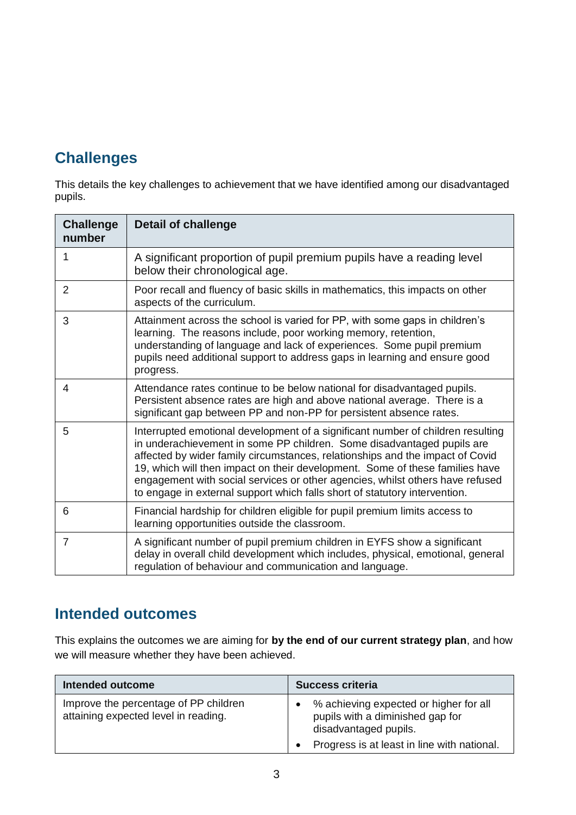# **Challenges**

This details the key challenges to achievement that we have identified among our disadvantaged pupils.

| <b>Challenge</b><br>number | <b>Detail of challenge</b>                                                                                                                                                                                                                                                                                                                                                                                                                                                                |
|----------------------------|-------------------------------------------------------------------------------------------------------------------------------------------------------------------------------------------------------------------------------------------------------------------------------------------------------------------------------------------------------------------------------------------------------------------------------------------------------------------------------------------|
| 1                          | A significant proportion of pupil premium pupils have a reading level<br>below their chronological age.                                                                                                                                                                                                                                                                                                                                                                                   |
| $\overline{2}$             | Poor recall and fluency of basic skills in mathematics, this impacts on other<br>aspects of the curriculum.                                                                                                                                                                                                                                                                                                                                                                               |
| 3                          | Attainment across the school is varied for PP, with some gaps in children's<br>learning. The reasons include, poor working memory, retention,<br>understanding of language and lack of experiences. Some pupil premium<br>pupils need additional support to address gaps in learning and ensure good<br>progress.                                                                                                                                                                         |
| 4                          | Attendance rates continue to be below national for disadvantaged pupils.<br>Persistent absence rates are high and above national average. There is a<br>significant gap between PP and non-PP for persistent absence rates.                                                                                                                                                                                                                                                               |
| 5                          | Interrupted emotional development of a significant number of children resulting<br>in underachievement in some PP children. Some disadvantaged pupils are<br>affected by wider family circumstances, relationships and the impact of Covid<br>19, which will then impact on their development. Some of these families have<br>engagement with social services or other agencies, whilst others have refused<br>to engage in external support which falls short of statutory intervention. |
| 6                          | Financial hardship for children eligible for pupil premium limits access to<br>learning opportunities outside the classroom.                                                                                                                                                                                                                                                                                                                                                              |
| $\overline{7}$             | A significant number of pupil premium children in EYFS show a significant<br>delay in overall child development which includes, physical, emotional, general<br>regulation of behaviour and communication and language.                                                                                                                                                                                                                                                                   |

## **Intended outcomes**

This explains the outcomes we are aiming for **by the end of our current strategy plan**, and how we will measure whether they have been achieved.

| Intended outcome                                                              | <b>Success criteria</b>                                                                             |
|-------------------------------------------------------------------------------|-----------------------------------------------------------------------------------------------------|
| Improve the percentage of PP children<br>attaining expected level in reading. | % achieving expected or higher for all<br>pupils with a diminished gap for<br>disadvantaged pupils. |
|                                                                               | Progress is at least in line with national.                                                         |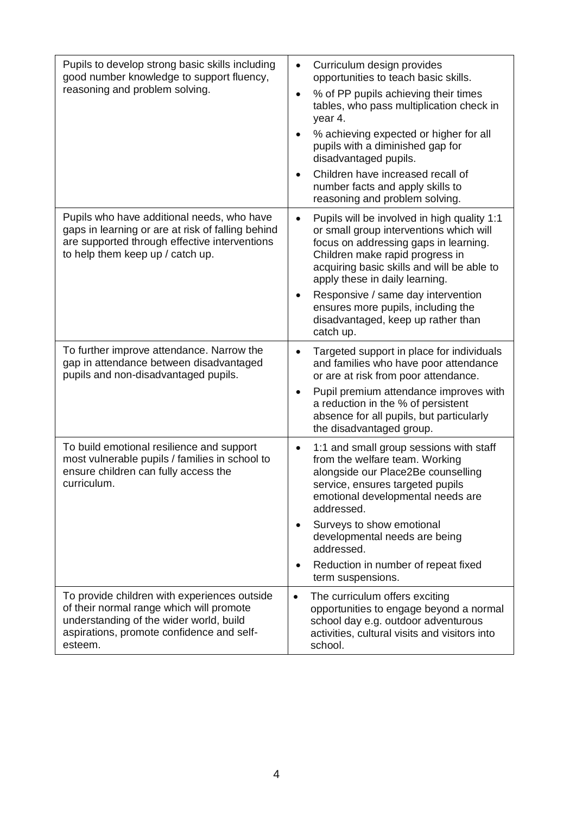| Pupils to develop strong basic skills including<br>good number knowledge to support fluency,<br>reasoning and problem solving.                                                              | Curriculum design provides<br>$\bullet$<br>opportunities to teach basic skills.<br>% of PP pupils achieving their times<br>$\bullet$<br>tables, who pass multiplication check in<br>year 4.<br>% achieving expected or higher for all<br>pupils with a diminished gap for<br>disadvantaged pupils.<br>Children have increased recall of<br>number facts and apply skills to<br>reasoning and problem solving. |
|---------------------------------------------------------------------------------------------------------------------------------------------------------------------------------------------|---------------------------------------------------------------------------------------------------------------------------------------------------------------------------------------------------------------------------------------------------------------------------------------------------------------------------------------------------------------------------------------------------------------|
| Pupils who have additional needs, who have<br>gaps in learning or are at risk of falling behind<br>are supported through effective interventions<br>to help them keep up / catch up.        | Pupils will be involved in high quality 1:1<br>$\bullet$<br>or small group interventions which will<br>focus on addressing gaps in learning.<br>Children make rapid progress in<br>acquiring basic skills and will be able to<br>apply these in daily learning.<br>Responsive / same day intervention<br>$\bullet$<br>ensures more pupils, including the<br>disadvantaged, keep up rather than<br>catch up.   |
| To further improve attendance. Narrow the<br>gap in attendance between disadvantaged<br>pupils and non-disadvantaged pupils.                                                                | Targeted support in place for individuals<br>$\bullet$<br>and families who have poor attendance<br>or are at risk from poor attendance.<br>Pupil premium attendance improves with<br>a reduction in the % of persistent<br>absence for all pupils, but particularly<br>the disadvantaged group.                                                                                                               |
| To build emotional resilience and support<br>most vulnerable pupils / families in school to<br>ensure children can fully access the<br>curriculum.                                          | 1:1 and small group sessions with staff<br>$\bullet$<br>from the welfare team. Working<br>alongside our Place2Be counselling<br>service, ensures targeted pupils<br>emotional developmental needs are<br>addressed.<br>Surveys to show emotional<br>developmental needs are being<br>addressed.<br>Reduction in number of repeat fixed<br>term suspensions.                                                   |
| To provide children with experiences outside<br>of their normal range which will promote<br>understanding of the wider world, build<br>aspirations, promote confidence and self-<br>esteem. | The curriculum offers exciting<br>$\bullet$<br>opportunities to engage beyond a normal<br>school day e.g. outdoor adventurous<br>activities, cultural visits and visitors into<br>school.                                                                                                                                                                                                                     |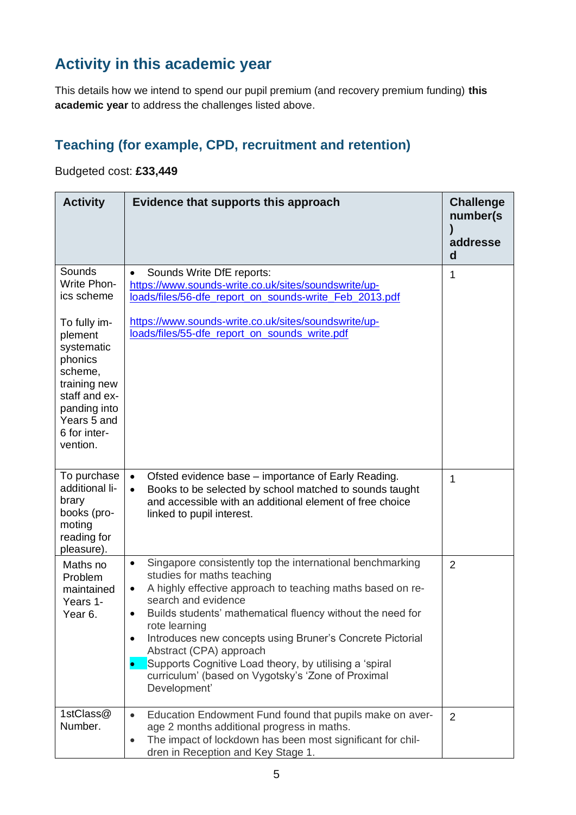# **Activity in this academic year**

This details how we intend to spend our pupil premium (and recovery premium funding) **this academic year** to address the challenges listed above.

### **Teaching (for example, CPD, recruitment and retention)**

### Budgeted cost: **£33,449**

| <b>Activity</b>                                                                                                                                                                                       | Evidence that supports this approach                                                                                                                                                                                                                                                                                                                                                                                                                                                                                                                 | <b>Challenge</b><br>number(s)<br>addresse<br>d |
|-------------------------------------------------------------------------------------------------------------------------------------------------------------------------------------------------------|------------------------------------------------------------------------------------------------------------------------------------------------------------------------------------------------------------------------------------------------------------------------------------------------------------------------------------------------------------------------------------------------------------------------------------------------------------------------------------------------------------------------------------------------------|------------------------------------------------|
| Sounds<br><b>Write Phon-</b><br>ics scheme<br>To fully im-<br>plement<br>systematic<br>phonics<br>scheme,<br>training new<br>staff and ex-<br>panding into<br>Years 5 and<br>6 for inter-<br>vention. | Sounds Write DfE reports:<br>$\bullet$<br>https://www.sounds-write.co.uk/sites/soundswrite/up-<br>loads/files/56-dfe report on sounds-write Feb 2013.pdf<br>https://www.sounds-write.co.uk/sites/soundswrite/up-<br>loads/files/55-dfe_report_on_sounds_write.pdf                                                                                                                                                                                                                                                                                    | 1                                              |
| To purchase<br>additional li-<br>brary<br>books (pro-<br>moting<br>reading for<br>pleasure).                                                                                                          | Ofsted evidence base – importance of Early Reading.<br>Books to be selected by school matched to sounds taught<br>$\bullet$<br>and accessible with an additional element of free choice<br>linked to pupil interest.                                                                                                                                                                                                                                                                                                                                 | 1                                              |
| Maths no<br>Problem<br>maintained<br>Years 1-<br>Year 6.                                                                                                                                              | Singapore consistently top the international benchmarking<br>$\bullet$<br>studies for maths teaching<br>A highly effective approach to teaching maths based on re-<br>$\bullet$<br>search and evidence<br>Builds students' mathematical fluency without the need for<br>$\bullet$<br>rote learning<br>Introduces new concepts using Bruner's Concrete Pictorial<br>$\bullet$<br>Abstract (CPA) approach<br>Supports Cognitive Load theory, by utilising a 'spiral<br>$\bullet$<br>curriculum' (based on Vygotsky's 'Zone of Proximal<br>Development' | 2                                              |
| 1stClass@<br>Number.                                                                                                                                                                                  | Education Endowment Fund found that pupils make on aver-<br>$\bullet$<br>age 2 months additional progress in maths.<br>The impact of lockdown has been most significant for chil-<br>$\bullet$<br>dren in Reception and Key Stage 1.                                                                                                                                                                                                                                                                                                                 | 2                                              |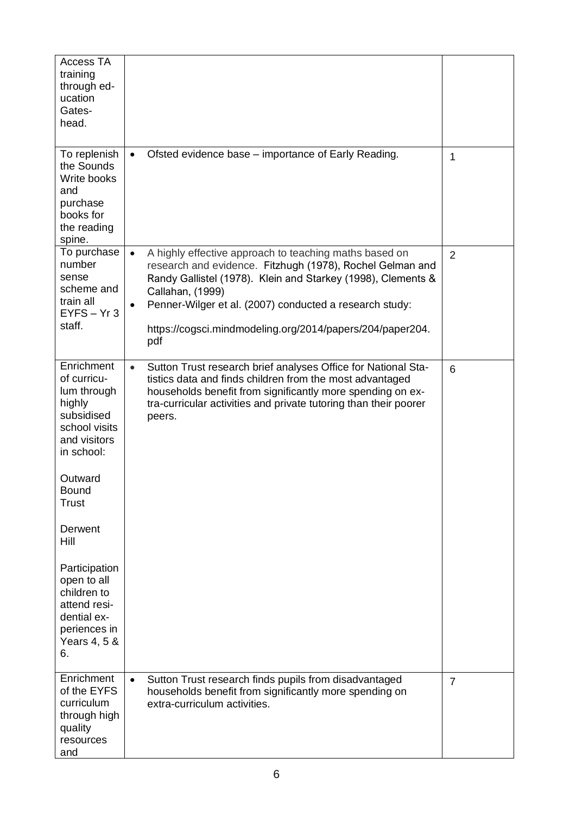| <b>Access TA</b><br>training<br>through ed-<br>ucation<br>Gates-<br>head.                                        |                                                                                                                                                                                                                                                                                                                                                                  |                |
|------------------------------------------------------------------------------------------------------------------|------------------------------------------------------------------------------------------------------------------------------------------------------------------------------------------------------------------------------------------------------------------------------------------------------------------------------------------------------------------|----------------|
| To replenish<br>the Sounds<br>Write books<br>and<br>purchase<br>books for<br>the reading<br>spine.               | Ofsted evidence base – importance of Early Reading.<br>$\bullet$                                                                                                                                                                                                                                                                                                 | 1              |
| To purchase<br>number<br>sense<br>scheme and<br>train all<br>$EYFS - Yr3$<br>staff.                              | A highly effective approach to teaching maths based on<br>$\bullet$<br>research and evidence. Fitzhugh (1978), Rochel Gelman and<br>Randy Gallistel (1978). Klein and Starkey (1998), Clements &<br>Callahan, (1999)<br>Penner-Wilger et al. (2007) conducted a research study:<br>$\bullet$<br>https://cogsci.mindmodeling.org/2014/papers/204/paper204.<br>pdf | $\overline{2}$ |
| Enrichment<br>of curricu-<br>lum through<br>highly<br>subsidised<br>school visits<br>and visitors<br>in school:  | Sutton Trust research brief analyses Office for National Sta-<br>$\bullet$<br>tistics data and finds children from the most advantaged<br>households benefit from significantly more spending on ex-<br>tra-curricular activities and private tutoring than their poorer<br>peers.                                                                               | 6              |
| Outward<br><b>Bound</b><br><b>Trust</b>                                                                          |                                                                                                                                                                                                                                                                                                                                                                  |                |
| Derwent<br>Hill                                                                                                  |                                                                                                                                                                                                                                                                                                                                                                  |                |
| Participation<br>open to all<br>children to<br>attend resi-<br>dential ex-<br>periences in<br>Years 4, 5 &<br>6. |                                                                                                                                                                                                                                                                                                                                                                  |                |
| Enrichment<br>of the EYFS<br>curriculum<br>through high<br>quality<br>resources<br>and                           | Sutton Trust research finds pupils from disadvantaged<br>$\bullet$<br>households benefit from significantly more spending on<br>extra-curriculum activities.                                                                                                                                                                                                     | $\overline{7}$ |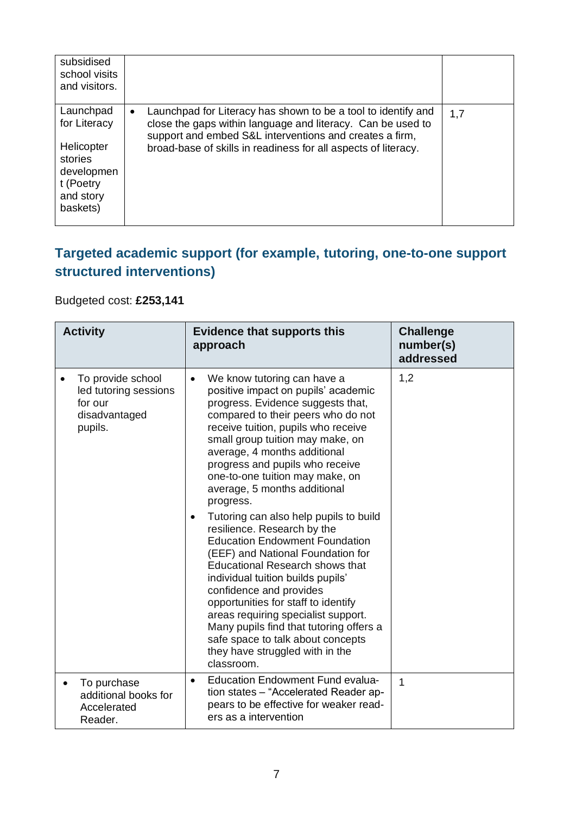| subsidised<br>school visits<br>and visitors.                                                           |                                                                                                                                                                                                                                                                        |     |
|--------------------------------------------------------------------------------------------------------|------------------------------------------------------------------------------------------------------------------------------------------------------------------------------------------------------------------------------------------------------------------------|-----|
| Launchpad<br>for Literacy<br>Helicopter<br>stories<br>developmen<br>t (Poetry<br>and story<br>baskets) | Launchpad for Literacy has shown to be a tool to identify and<br>$\bullet$<br>close the gaps within language and literacy. Can be used to<br>support and embed S&L interventions and creates a firm,<br>broad-base of skills in readiness for all aspects of literacy. | 1,7 |

## **Targeted academic support (for example, tutoring, one-to-one support structured interventions)**

### Budgeted cost: **£253,141**

| <b>Activity</b>                                                                   | <b>Evidence that supports this</b><br>approach                                                                                                                                                                                                                                                                                                                                                                                                                                                                                                                                                                                                                                                                                                                                                                                                                           | <b>Challenge</b><br>number(s)<br>addressed |
|-----------------------------------------------------------------------------------|--------------------------------------------------------------------------------------------------------------------------------------------------------------------------------------------------------------------------------------------------------------------------------------------------------------------------------------------------------------------------------------------------------------------------------------------------------------------------------------------------------------------------------------------------------------------------------------------------------------------------------------------------------------------------------------------------------------------------------------------------------------------------------------------------------------------------------------------------------------------------|--------------------------------------------|
| To provide school<br>led tutoring sessions<br>for our<br>disadvantaged<br>pupils. | We know tutoring can have a<br>$\bullet$<br>positive impact on pupils' academic<br>progress. Evidence suggests that,<br>compared to their peers who do not<br>receive tuition, pupils who receive<br>small group tuition may make, on<br>average, 4 months additional<br>progress and pupils who receive<br>one-to-one tuition may make, on<br>average, 5 months additional<br>progress.<br>Tutoring can also help pupils to build<br>resilience. Research by the<br><b>Education Endowment Foundation</b><br>(EEF) and National Foundation for<br><b>Educational Research shows that</b><br>individual tuition builds pupils'<br>confidence and provides<br>opportunities for staff to identify<br>areas requiring specialist support.<br>Many pupils find that tutoring offers a<br>safe space to talk about concepts<br>they have struggled with in the<br>classroom. | 1,2                                        |
| To purchase<br>additional books for<br>Accelerated<br>Reader.                     | <b>Education Endowment Fund evalua-</b><br>$\bullet$<br>tion states - "Accelerated Reader ap-<br>pears to be effective for weaker read-<br>ers as a intervention                                                                                                                                                                                                                                                                                                                                                                                                                                                                                                                                                                                                                                                                                                         | 1                                          |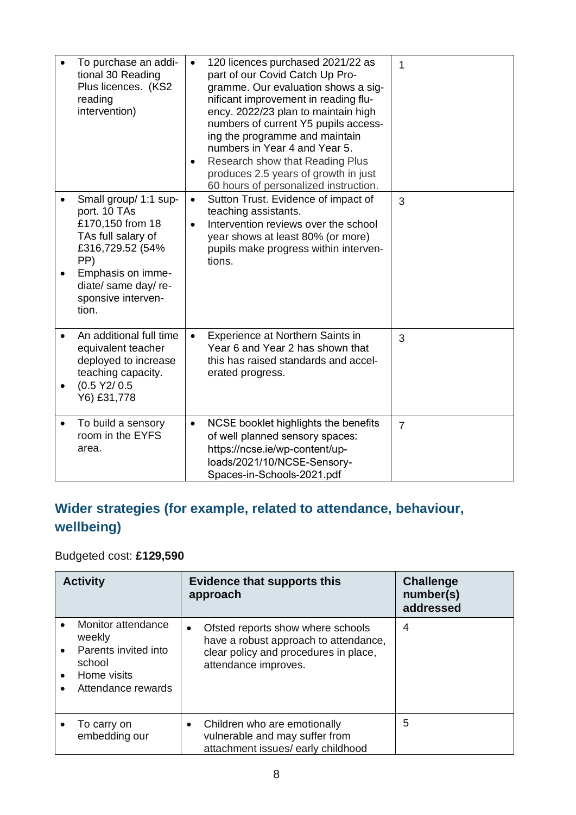| To purchase an addi-<br>tional 30 Reading<br>Plus licences. (KS2<br>reading<br>intervention)                                                                                           | 120 licences purchased 2021/22 as<br>$\bullet$<br>part of our Covid Catch Up Pro-<br>gramme. Our evaluation shows a sig-<br>nificant improvement in reading flu-<br>ency. 2022/23 plan to maintain high<br>numbers of current Y5 pupils access-<br>ing the programme and maintain<br>numbers in Year 4 and Year 5.<br>Research show that Reading Plus<br>$\bullet$<br>produces 2.5 years of growth in just<br>60 hours of personalized instruction. | 1              |
|----------------------------------------------------------------------------------------------------------------------------------------------------------------------------------------|-----------------------------------------------------------------------------------------------------------------------------------------------------------------------------------------------------------------------------------------------------------------------------------------------------------------------------------------------------------------------------------------------------------------------------------------------------|----------------|
| Small group/ 1:1 sup-<br>port. 10 TAs<br>£170,150 from 18<br>TAs full salary of<br>£316,729.52 (54%<br>PP)<br>Emphasis on imme-<br>diate/ same day/ re-<br>sponsive interven-<br>tion. | Sutton Trust. Evidence of impact of<br>$\bullet$<br>teaching assistants.<br>Intervention reviews over the school<br>$\bullet$<br>year shows at least 80% (or more)<br>pupils make progress within interven-<br>tions.                                                                                                                                                                                                                               | 3              |
| An additional full time<br>$\bullet$<br>equivalent teacher<br>deployed to increase<br>teaching capacity.<br>(0.5 Y2 / 0.5<br>Y6) £31,778                                               | Experience at Northern Saints in<br>$\bullet$<br>Year 6 and Year 2 has shown that<br>this has raised standards and accel-<br>erated progress.                                                                                                                                                                                                                                                                                                       | 3              |
| To build a sensory<br>$\bullet$<br>room in the EYFS<br>area.                                                                                                                           | NCSE booklet highlights the benefits<br>$\bullet$<br>of well planned sensory spaces:<br>https://ncse.ie/wp-content/up-<br>loads/2021/10/NCSE-Sensory-<br>Spaces-in-Schools-2021.pdf                                                                                                                                                                                                                                                                 | $\overline{7}$ |

## **Wider strategies (for example, related to attendance, behaviour, wellbeing)**

## Budgeted cost: **£129,590**

| <b>Activity</b>                                                                                     | <b>Evidence that supports this</b><br>approach                                                                                                           | <b>Challenge</b><br>number(s)<br>addressed |
|-----------------------------------------------------------------------------------------------------|----------------------------------------------------------------------------------------------------------------------------------------------------------|--------------------------------------------|
| Monitor attendance<br>weekly<br>Parents invited into<br>school<br>Home visits<br>Attendance rewards | Ofsted reports show where schools<br>$\bullet$<br>have a robust approach to attendance,<br>clear policy and procedures in place,<br>attendance improves. | 4                                          |
| To carry on<br>embedding our                                                                        | Children who are emotionally<br>$\bullet$<br>vulnerable and may suffer from<br>attachment issues/ early childhood                                        | 5                                          |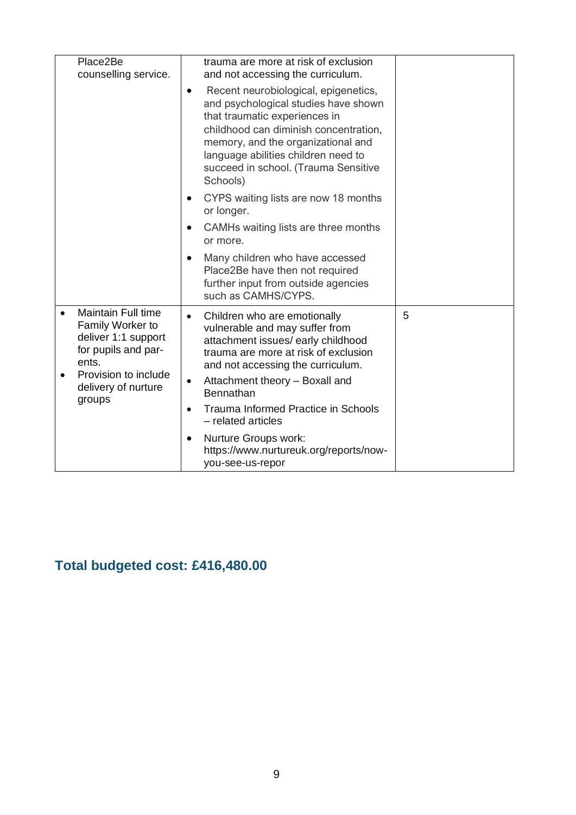|       | Place2Be<br>counselling service.                                                                                    | trauma are more at risk of exclusion<br>and not accessing the curriculum.                                                                                                                                                                                                                            |   |
|-------|---------------------------------------------------------------------------------------------------------------------|------------------------------------------------------------------------------------------------------------------------------------------------------------------------------------------------------------------------------------------------------------------------------------------------------|---|
|       |                                                                                                                     | Recent neurobiological, epigenetics,<br>$\bullet$<br>and psychological studies have shown<br>that traumatic experiences in<br>childhood can diminish concentration,<br>memory, and the organizational and<br>language abilities children need to<br>succeed in school. (Trauma Sensitive<br>Schools) |   |
|       |                                                                                                                     | CYPS waiting lists are now 18 months<br>or longer.                                                                                                                                                                                                                                                   |   |
|       |                                                                                                                     | CAMHs waiting lists are three months<br>or more.                                                                                                                                                                                                                                                     |   |
|       |                                                                                                                     | Many children who have accessed<br>$\bullet$<br>Place2Be have then not required<br>further input from outside agencies<br>such as CAMHS/CYPS.                                                                                                                                                        |   |
| ents. | <b>Maintain Full time</b><br>Family Worker to<br>deliver 1:1 support<br>for pupils and par-<br>Provision to include | Children who are emotionally<br>$\bullet$<br>vulnerable and may suffer from<br>attachment issues/ early childhood<br>trauma are more at risk of exclusion<br>and not accessing the curriculum.                                                                                                       | 5 |
|       | delivery of nurture                                                                                                 | Attachment theory - Boxall and<br>$\bullet$<br>Bennathan                                                                                                                                                                                                                                             |   |
|       | groups                                                                                                              | Trauma Informed Practice in Schools<br>$\bullet$<br>- related articles                                                                                                                                                                                                                               |   |
|       |                                                                                                                     | Nurture Groups work:<br>$\bullet$<br>https://www.nurtureuk.org/reports/now-<br>you-see-us-repor                                                                                                                                                                                                      |   |

# **Total budgeted cost: £416,480.00**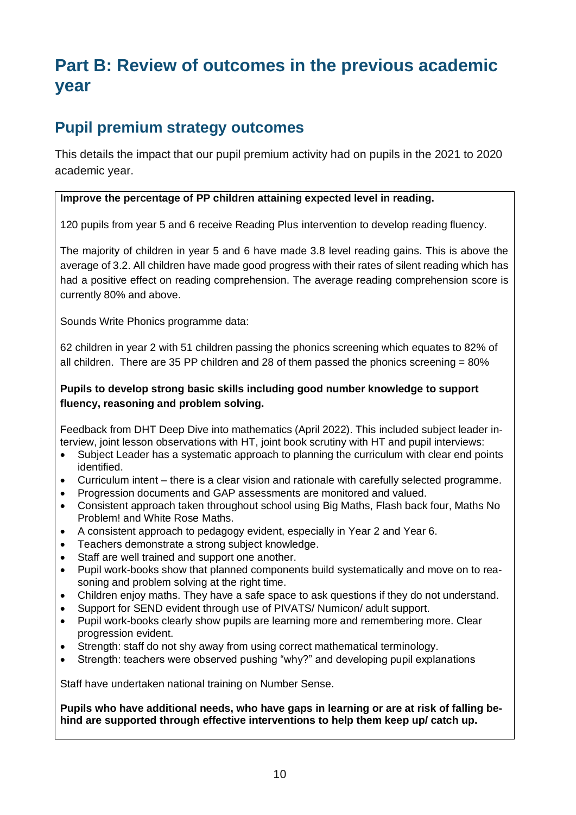# **Part B: Review of outcomes in the previous academic year**

## **Pupil premium strategy outcomes**

This details the impact that our pupil premium activity had on pupils in the 2021 to 2020 academic year.

### **Improve the percentage of PP children attaining expected level in reading.**

120 pupils from year 5 and 6 receive Reading Plus intervention to develop reading fluency.

The majority of children in year 5 and 6 have made 3.8 level reading gains. This is above the average of 3.2. All children have made good progress with their rates of silent reading which has had a positive effect on reading comprehension. The average reading comprehension score is currently 80% and above.

Sounds Write Phonics programme data:

62 children in year 2 with 51 children passing the phonics screening which equates to 82% of all children. There are 35 PP children and 28 of them passed the phonics screening =  $80\%$ 

### **Pupils to develop strong basic skills including good number knowledge to support fluency, reasoning and problem solving.**

Feedback from DHT Deep Dive into mathematics (April 2022). This included subject leader interview, joint lesson observations with HT, joint book scrutiny with HT and pupil interviews:

- Subject Leader has a systematic approach to planning the curriculum with clear end points identified.
- Curriculum intent there is a clear vision and rationale with carefully selected programme.
- Progression documents and GAP assessments are monitored and valued.
- Consistent approach taken throughout school using Big Maths, Flash back four, Maths No Problem! and White Rose Maths.
- A consistent approach to pedagogy evident, especially in Year 2 and Year 6.
- Teachers demonstrate a strong subject knowledge.
- Staff are well trained and support one another.
- Pupil work-books show that planned components build systematically and move on to reasoning and problem solving at the right time.
- Children enjoy maths. They have a safe space to ask questions if they do not understand.
- Support for SEND evident through use of PIVATS/ Numicon/ adult support.
- Pupil work-books clearly show pupils are learning more and remembering more. Clear progression evident.
- Strength: staff do not shy away from using correct mathematical terminology.
- Strength: teachers were observed pushing "why?" and developing pupil explanations

Staff have undertaken national training on Number Sense.

**Pupils who have additional needs, who have gaps in learning or are at risk of falling behind are supported through effective interventions to help them keep up/ catch up.**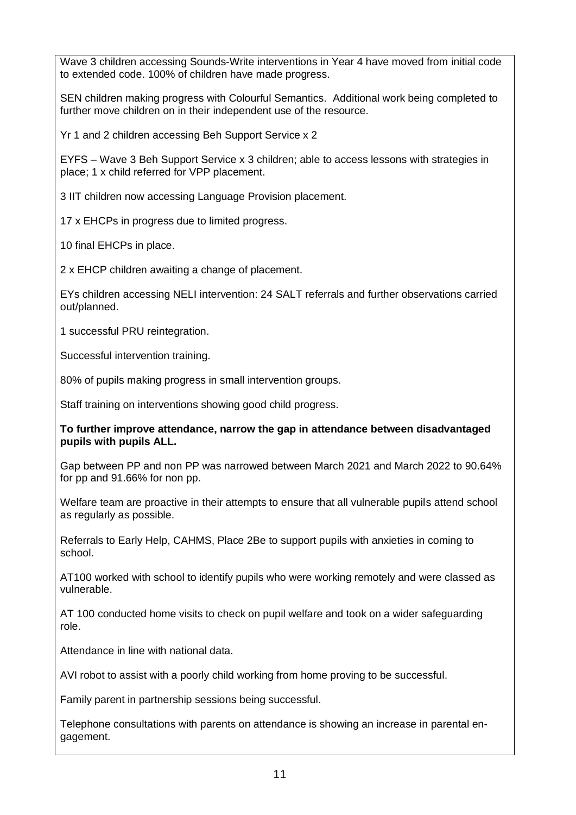Wave 3 children accessing Sounds-Write interventions in Year 4 have moved from initial code to extended code. 100% of children have made progress.

SEN children making progress with Colourful Semantics. Additional work being completed to further move children on in their independent use of the resource.

Yr 1 and 2 children accessing Beh Support Service x 2

EYFS – Wave 3 Beh Support Service x 3 children; able to access lessons with strategies in place; 1 x child referred for VPP placement.

3 IIT children now accessing Language Provision placement.

17 x EHCPs in progress due to limited progress.

10 final EHCPs in place.

2 x EHCP children awaiting a change of placement.

EYs children accessing NELI intervention: 24 SALT referrals and further observations carried out/planned.

1 successful PRU reintegration.

Successful intervention training.

80% of pupils making progress in small intervention groups.

Staff training on interventions showing good child progress.

#### **To further improve attendance, narrow the gap in attendance between disadvantaged pupils with pupils ALL.**

Gap between PP and non PP was narrowed between March 2021 and March 2022 to 90.64% for pp and 91.66% for non pp.

Welfare team are proactive in their attempts to ensure that all vulnerable pupils attend school as regularly as possible.

Referrals to Early Help, CAHMS, Place 2Be to support pupils with anxieties in coming to school.

AT100 worked with school to identify pupils who were working remotely and were classed as vulnerable.

AT 100 conducted home visits to check on pupil welfare and took on a wider safeguarding role.

Attendance in line with national data.

AVI robot to assist with a poorly child working from home proving to be successful.

Family parent in partnership sessions being successful.

Telephone consultations with parents on attendance is showing an increase in parental engagement.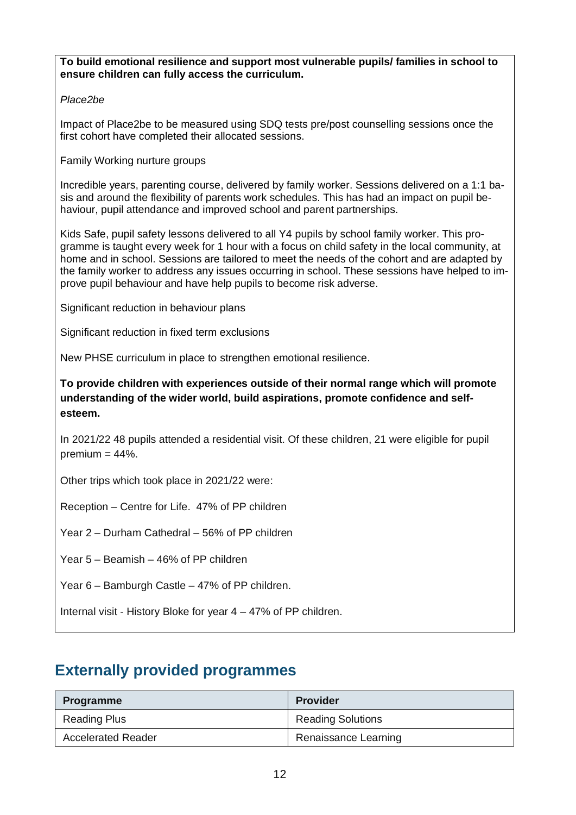**To build emotional resilience and support most vulnerable pupils/ families in school to ensure children can fully access the curriculum.**

### *Place2be*

Impact of Place2be to be measured using SDQ tests pre/post counselling sessions once the first cohort have completed their allocated sessions.

Family Working nurture groups

Incredible years, parenting course, delivered by family worker. Sessions delivered on a 1:1 basis and around the flexibility of parents work schedules. This has had an impact on pupil behaviour, pupil attendance and improved school and parent partnerships.

Kids Safe, pupil safety lessons delivered to all Y4 pupils by school family worker. This programme is taught every week for 1 hour with a focus on child safety in the local community, at home and in school. Sessions are tailored to meet the needs of the cohort and are adapted by the family worker to address any issues occurring in school. These sessions have helped to improve pupil behaviour and have help pupils to become risk adverse.

Significant reduction in behaviour plans

Significant reduction in fixed term exclusions

New PHSE curriculum in place to strengthen emotional resilience.

**To provide children with experiences outside of their normal range which will promote understanding of the wider world, build aspirations, promote confidence and selfesteem.**

In 2021/22 48 pupils attended a residential visit. Of these children, 21 were eligible for pupil  $premium = 44\%.$ 

Other trips which took place in 2021/22 were:

Reception – Centre for Life. 47% of PP children

Year 2 – Durham Cathedral – 56% of PP children

Year 5 – Beamish – 46% of PP children

Year 6 – Bamburgh Castle – 47% of PP children.

Internal visit - History Bloke for year 4 – 47% of PP children.

### **Externally provided programmes**

| <b>Programme</b>          | <b>Provider</b>          |
|---------------------------|--------------------------|
| <b>Reading Plus</b>       | <b>Reading Solutions</b> |
| <b>Accelerated Reader</b> | Renaissance Learning     |